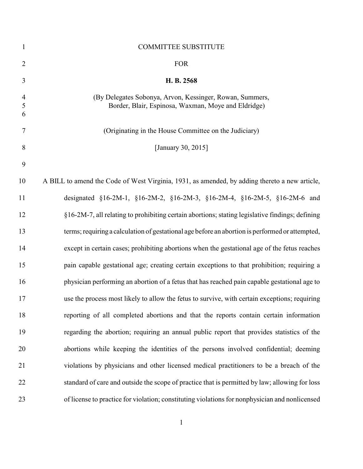| $\mathbf{1}$             | <b>COMMITTEE SUBSTITUTE</b>                                                                                     |
|--------------------------|-----------------------------------------------------------------------------------------------------------------|
| $\overline{2}$           | <b>FOR</b>                                                                                                      |
| 3                        | H. B. 2568                                                                                                      |
| $\overline{4}$<br>5<br>6 | (By Delegates Sobonya, Arvon, Kessinger, Rowan, Summers,<br>Border, Blair, Espinosa, Waxman, Moye and Eldridge) |
| $\tau$                   | (Originating in the House Committee on the Judiciary)                                                           |
| 8                        | [January 30, 2015]                                                                                              |
| 9                        |                                                                                                                 |
| 10                       | A BILL to amend the Code of West Virginia, 1931, as amended, by adding thereto a new article,                   |
| 11                       | designated §16-2M-1, §16-2M-2, §16-2M-3, §16-2M-4, §16-2M-5, §16-2M-6 and                                       |
| 12                       | §16-2M-7, all relating to prohibiting certain abortions; stating legislative findings; defining                 |
| 13                       | terms; requiring a calculation of gestational age before an abortion is performed or attempted,                 |
| 14                       | except in certain cases; prohibiting abortions when the gestational age of the fetus reaches                    |
| 15                       | pain capable gestational age; creating certain exceptions to that prohibition; requiring a                      |
| 16                       | physician performing an abortion of a fetus that has reached pain capable gestational age to                    |
| 17                       | use the process most likely to allow the fetus to survive, with certain exceptions; requiring                   |
| 18                       | reporting of all completed abortions and that the reports contain certain information                           |
| 19                       | regarding the abortion; requiring an annual public report that provides statistics of the                       |
| 20                       | abortions while keeping the identities of the persons involved confidential; deeming                            |
| 21                       | violations by physicians and other licensed medical practitioners to be a breach of the                         |
| 22                       | standard of care and outside the scope of practice that is permitted by law; allowing for loss                  |
| 23                       | of license to practice for violation; constituting violations for nonphysician and nonlicensed                  |
|                          |                                                                                                                 |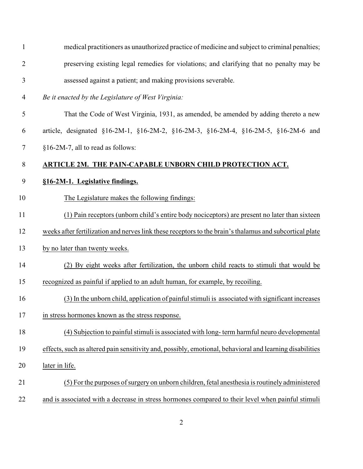| $\mathbf{1}$   | medical practitioners as unauthorized practice of medicine and subject to criminal penalties;            |
|----------------|----------------------------------------------------------------------------------------------------------|
| $\overline{2}$ | preserving existing legal remedies for violations; and clarifying that no penalty may be                 |
| $\mathfrak{Z}$ | assessed against a patient; and making provisions severable.                                             |
| 4              | Be it enacted by the Legislature of West Virginia:                                                       |
| 5              | That the Code of West Virginia, 1931, as amended, be amended by adding thereto a new                     |
| 6              | article, designated §16-2M-1, §16-2M-2, §16-2M-3, §16-2M-4, §16-2M-5, §16-2M-6 and                       |
| $\tau$         | §16-2M-7, all to read as follows:                                                                        |
| $8\,$          | ARTICLE 2M. THE PAIN-CAPABLE UNBORN CHILD PROTECTION ACT.                                                |
| 9              | §16-2M-1. Legislative findings.                                                                          |
| 10             | The Legislature makes the following findings:                                                            |
| 11             | (1) Pain receptors (unborn child's entire body nociceptors) are present no later than sixteen            |
| 12             | weeks after fertilization and nerves link these receptors to the brain's thalamus and subcortical plate  |
| 13             | by no later than twenty weeks.                                                                           |
| 14             | (2) By eight weeks after fertilization, the unborn child reacts to stimuli that would be                 |
| 15             | recognized as painful if applied to an adult human, for example, by recoiling.                           |
| 16             | (3) In the unborn child, application of painful stimuli is associated with significant increases         |
| 17             | in stress hormones known as the stress response.                                                         |
| 18             | (4) Subjection to painful stimuli is associated with long-term harmful neuro developmental               |
| 19             | effects, such as altered pain sensitivity and, possibly, emotional, behavioral and learning disabilities |
| 20             | later in life.                                                                                           |
| 21             | (5) For the purposes of surgery on unborn children, fetal anesthesia is routinely administered           |
| 22             | and is associated with a decrease in stress hormones compared to their level when painful stimuli        |
|                |                                                                                                          |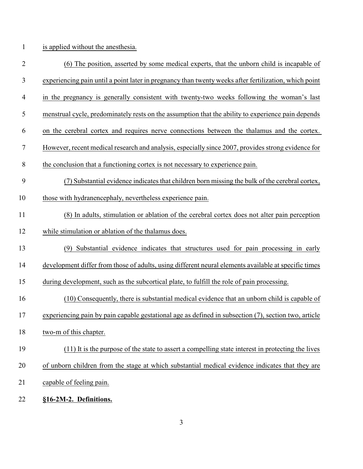is applied without the anesthesia.

| $\overline{2}$ | (6) The position, asserted by some medical experts, that the unborn child is incapable of             |
|----------------|-------------------------------------------------------------------------------------------------------|
| 3              | experiencing pain until a point later in pregnancy than twenty weeks after fertilization, which point |
| $\overline{4}$ | in the pregnancy is generally consistent with twenty-two weeks following the woman's last             |
| 5              | menstrual cycle, predominately rests on the assumption that the ability to experience pain depends    |
| 6              | on the cerebral cortex and requires nerve connections between the thalamus and the cortex.            |
| 7              | However, recent medical research and analysis, especially since 2007, provides strong evidence for    |
| $8\,$          | the conclusion that a functioning cortex is not necessary to experience pain.                         |
| 9              | (7) Substantial evidence indicates that children born missing the bulk of the cerebral cortex,        |
| 10             | those with hydranencephaly, nevertheless experience pain.                                             |
| 11             | (8) In adults, stimulation or ablation of the cerebral cortex does not alter pain perception          |
| 12             | while stimulation or ablation of the thalamus does.                                                   |
| 13             | Substantial evidence indicates that structures used for pain processing in early<br>(9)               |
| 14             | development differ from those of adults, using different neural elements available at specific times  |
| 15             | during development, such as the subcortical plate, to fulfill the role of pain processing.            |
| 16             | (10) Consequently, there is substantial medical evidence that an unborn child is capable of           |
| 17             | experiencing pain by pain capable gestational age as defined in subsection (7), section two, article  |
| 18             | two-m of this chapter.                                                                                |
| 19             | (11) It is the purpose of the state to assert a compelling state interest in protecting the lives     |
| 20             | of unborn children from the stage at which substantial medical evidence indicates that they are       |
| 21             | capable of feeling pain.                                                                              |
| 22             | §16-2M-2. Definitions.                                                                                |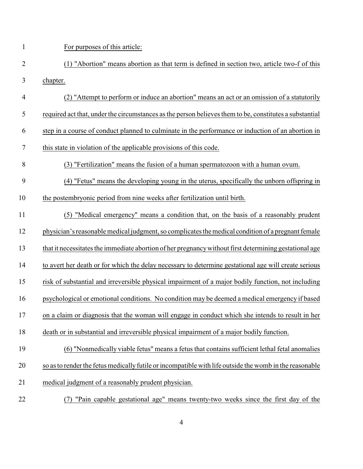For purposes of this article:

- (1) "Abortion" means abortion as that term is defined in section two, article two-f of this chapter.
- (2) "Attempt to perform or induce an abortion" means an act or an omission of a statutorily required act that, under the circumstances as the person believes them to be, constitutes a substantial step in a course of conduct planned to culminate in the performance or induction of an abortion in this state in violation of the applicable provisions of this code.
- (3) "Fertilization" means the fusion of a human spermatozoon with a human ovum.
- (4) "Fetus" means the developing young in the uterus, specifically the unborn offspring in
- the postembryonic period from nine weeks after fertilization until birth.
- (5) "Medical emergency" means a condition that, on the basis of a reasonably prudent physician's reasonable medical judgment, so complicates the medical condition of a pregnant female that it necessitates the immediate abortion of her pregnancywithout first determining gestational age to avert her death or for which the delay necessary to determine gestational age will create serious risk of substantial and irreversible physical impairment of a major bodily function, not including psychological or emotional conditions. No condition may be deemed a medical emergency if based on a claim or diagnosis that the woman will engage in conduct which she intends to result in her death or in substantial and irreversible physical impairment of a major bodily function.

## (6) "Nonmedically viable fetus" means a fetus that contains sufficient lethal fetal anomalies so as to render the fetus medically futile or incompatible with life outside the womb in the reasonable medical judgment of a reasonably prudent physician.

(7) "Pain capable gestational age" means twenty-two weeks since the first day of the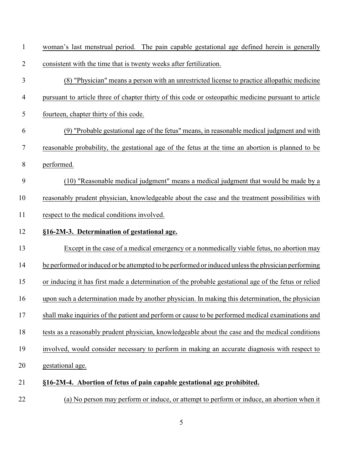| $\mathbf{1}$   | woman's last menstrual period. The pain capable gestational age defined herein is generally          |
|----------------|------------------------------------------------------------------------------------------------------|
| $\overline{2}$ | consistent with the time that is twenty weeks after fertilization.                                   |
| 3              | (8) "Physician" means a person with an unrestricted license to practice allopathic medicine          |
| $\overline{4}$ | pursuant to article three of chapter thirty of this code or osteopathic medicine pursuant to article |
| 5              | fourteen, chapter thirty of this code.                                                               |
| 6              | (9) "Probable gestational age of the fetus" means, in reasonable medical judgment and with           |
| 7              | reasonable probability, the gestational age of the fetus at the time an abortion is planned to be    |
| 8              | performed.                                                                                           |
| 9              | (10) "Reasonable medical judgment" means a medical judgment that would be made by a                  |
| 10             | reasonably prudent physician, knowledgeable about the case and the treatment possibilities with      |
| 11             | respect to the medical conditions involved.                                                          |
| 12             | §16-2M-3. Determination of gestational age.                                                          |
| 13             | Except in the case of a medical emergency or a nonmedically viable fetus, no abortion may            |
| 14             | be performed or induced or be attempted to be performed or induced unless the physician performing   |
| 15             | or inducing it has first made a determination of the probable gestational age of the fetus or relied |
| 16             | upon such a determination made by another physician. In making this determination, the physician     |
| 17             | shall make inquiries of the patient and perform or cause to be performed medical examinations and    |
| 18             | tests as a reasonably prudent physician, knowledgeable about the case and the medical conditions     |
| 19             | involved, would consider necessary to perform in making an accurate diagnosis with respect to        |
| 20             | gestational age.                                                                                     |
| 21             | §16-2M-4. Abortion of fetus of pain capable gestational age prohibited.                              |
| 22             | (a) No person may perform or induce, or attempt to perform or induce, an abortion when it            |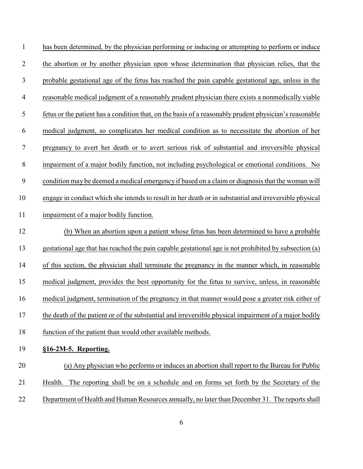has been determined, by the physician performing or inducing or attempting to perform or induce the abortion or by another physician upon whose determination that physician relies, that the probable gestational age of the fetus has reached the pain capable gestational age, unless in the reasonable medical judgment of a reasonably prudent physician there exists a nonmedically viable fetus or the patient has a condition that, on the basis of a reasonably prudent physician's reasonable medical judgment, so complicates her medical condition as to necessitate the abortion of her pregnancy to avert her death or to avert serious risk of substantial and irreversible physical impairment of a major bodily function, not including psychological or emotional conditions. No condition may be deemed a medical emergency if based on a claim or diagnosis that the woman will engage in conduct which she intends to result in her death or in substantial and irreversible physical impairment of a major bodily function. (b) When an abortion upon a patient whose fetus has been determined to have a probable gestational age that has reached the pain capable gestational age is not prohibited by subsection (a) of this section, the physician shall terminate the pregnancy in the manner which, in reasonable medical judgment, provides the best opportunity for the fetus to survive, unless, in reasonable medical judgment, termination of the pregnancy in that manner would pose a greater risk either of 17 the death of the patient or of the substantial and irreversible physical impairment of a major bodily function of the patient than would other available methods. **§16-2M-5. Reporting.** (a) Any physician who performs or induces an abortion shall report to the Bureau for Public

- Health. The reporting shall be on a schedule and on forms set forth by the Secretary of the
- 22 Department of Health and Human Resources annually, no later than December 31. The reports shall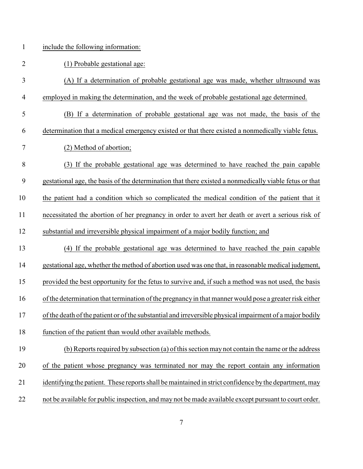| $\mathbf{1}$   | include the following information:                                                                       |
|----------------|----------------------------------------------------------------------------------------------------------|
| $\overline{2}$ | (1) Probable gestational age:                                                                            |
| 3              | (A) If a determination of probable gestational age was made, whether ultrasound was                      |
| $\overline{4}$ | employed in making the determination, and the week of probable gestational age determined.               |
| 5              | (B) If a determination of probable gestational age was not made, the basis of the                        |
| 6              | determination that a medical emergency existed or that there existed a nonmedically viable fetus.        |
| 7              | (2) Method of abortion;                                                                                  |
| 8              | (3) If the probable gestational age was determined to have reached the pain capable                      |
| 9              | gestational age, the basis of the determination that there existed a nonmedically viable fetus or that   |
| 10             | the patient had a condition which so complicated the medical condition of the patient that it            |
| 11             | necessitated the abortion of her pregnancy in order to avert her death or avert a serious risk of        |
| 12             | substantial and irreversible physical impairment of a major bodily function; and                         |
| 13             | (4) If the probable gestational age was determined to have reached the pain capable                      |
| 14             | gestational age, whether the method of abortion used was one that, in reasonable medical judgment,       |
| 15             | provided the best opportunity for the fetus to survive and, if such a method was not used, the basis     |
| 16             | of the determination that termination of the pregnancy in that manner would pose a greater risk either   |
| 17             | of the death of the patient or of the substantial and irreversible physical impairment of a major bodily |
| 18             | function of the patient than would other available methods.                                              |
| 19             | (b) Reports required by subsection (a) of this section may not contain the name or the address           |
| 20             | of the patient whose pregnancy was terminated nor may the report contain any information                 |

- 21 identifying the patient. These reports shall be maintained in strict confidence by the department, may
- not be available for public inspection, and may not be made available except pursuant to court order.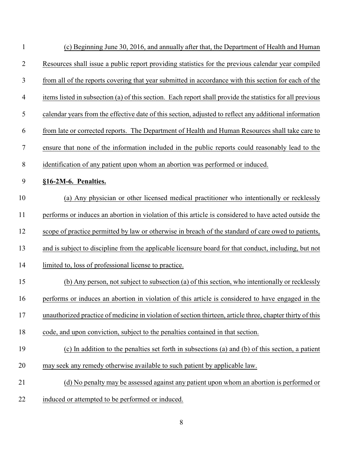| $\mathbf{1}$   | (c) Beginning June 30, 2016, and annually after that, the Department of Health and Human                  |
|----------------|-----------------------------------------------------------------------------------------------------------|
| $\overline{2}$ | Resources shall issue a public report providing statistics for the previous calendar year compiled        |
| $\mathfrak{Z}$ | from all of the reports covering that year submitted in accordance with this section for each of the      |
| $\overline{4}$ | items listed in subsection (a) of this section. Each report shall provide the statistics for all previous |
| 5              | calendar years from the effective date of this section, adjusted to reflect any additional information    |
| 6              | from late or corrected reports. The Department of Health and Human Resources shall take care to           |
| $\overline{7}$ | ensure that none of the information included in the public reports could reasonably lead to the           |
| $8\phantom{1}$ | identification of any patient upon whom an abortion was performed or induced.                             |
| 9              | §16-2M-6. Penalties.                                                                                      |
| 10             | (a) Any physician or other licensed medical practitioner who intentionally or recklessly                  |
| 11             | performs or induces an abortion in violation of this article is considered to have acted outside the      |
| 12             | scope of practice permitted by law or otherwise in breach of the standard of care owed to patients,       |
| 13             | and is subject to discipline from the applicable licensure board for that conduct, including, but not     |
| 14             | limited to, loss of professional license to practice.                                                     |
| 15             | (b) Any person, not subject to subsection (a) of this section, who intentionally or recklessly            |
| 16             | performs or induces an abortion in violation of this article is considered to have engaged in the         |
| 17             | unauthorized practice of medicine in violation of section thirteen, article three, chapter thirty of this |
| 18             | code, and upon conviction, subject to the penalties contained in that section.                            |
| 19             | (c) In addition to the penalties set forth in subsections (a) and (b) of this section, a patient          |
| 20             | may seek any remedy otherwise available to such patient by applicable law.                                |
| 21             | (d) No penalty may be assessed against any patient upon whom an abortion is performed or                  |
| 22             | induced or attempted to be performed or induced.                                                          |